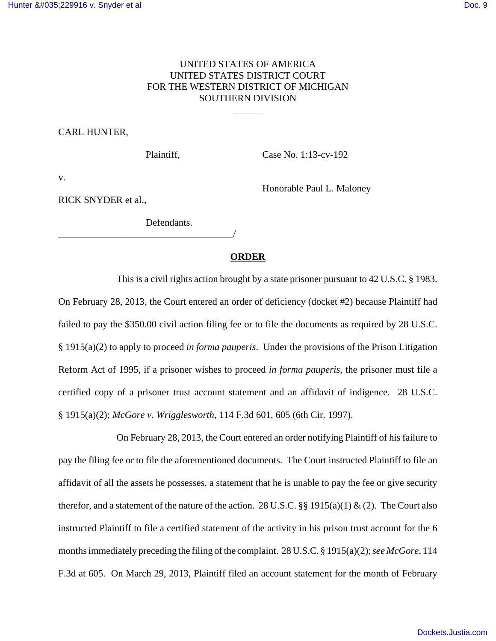# UNITED STATES OF AMERICA UNITED STATES DISTRICT COURT FOR THE WESTERN DISTRICT OF MICHIGAN SOUTHERN DIVISION

 $\overline{a}$ 

#### CARL HUNTER,

Plaintiff, Case No. 1:13-cv-192

Honorable Paul L. Maloney

v.

RICK SNYDER et al.,

Defendants.

### \_\_\_\_\_\_\_\_\_\_\_\_\_\_\_\_\_\_\_\_\_\_\_\_\_\_\_\_\_\_\_\_\_\_\_\_/

### **ORDER**

This is a civil rights action brought by a state prisoner pursuant to 42 U.S.C. § 1983. On February 28, 2013, the Court entered an order of deficiency (docket #2) because Plaintiff had failed to pay the \$350.00 civil action filing fee or to file the documents as required by 28 U.S.C. § 1915(a)(2) to apply to proceed *in forma pauperis*. Under the provisions of the Prison Litigation Reform Act of 1995, if a prisoner wishes to proceed *in forma pauperis*, the prisoner must file a certified copy of a prisoner trust account statement and an affidavit of indigence. 28 U.S.C. § 1915(a)(2); *McGore v. Wrigglesworth*, 114 F.3d 601, 605 (6th Cir. 1997).

On February 28, 2013, the Court entered an order notifying Plaintiff of his failure to pay the filing fee or to file the aforementioned documents. The Court instructed Plaintiff to file an affidavit of all the assets he possesses, a statement that he is unable to pay the fee or give security therefor, and a statement of the nature of the action. 28 U.S.C. §§ 1915(a)(1) & (2). The Court also instructed Plaintiff to file a certified statement of the activity in his prison trust account for the 6 months immediately preceding the filing of the complaint. 28 U.S.C. § 1915(a)(2); *see McGore*, 114 F.3d at 605. On March 29, 2013, Plaintiff filed an account statement for the month of February